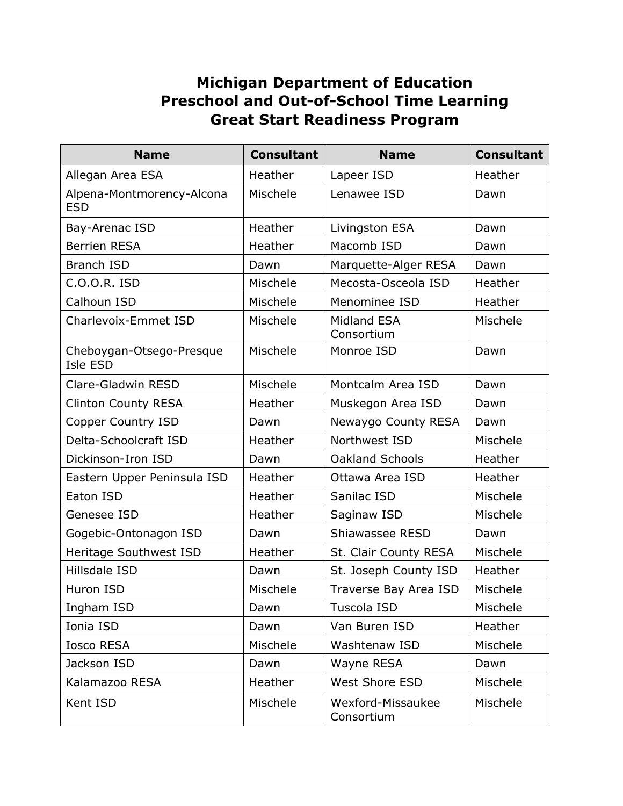## **Michigan Department of Education Preschool and Out-of-School Time Learning Great Start Readiness Program**

| <b>Name</b>                             | <b>Consultant</b> | <b>Name</b>                      | <b>Consultant</b> |
|-----------------------------------------|-------------------|----------------------------------|-------------------|
| Allegan Area ESA                        | Heather           | Lapeer ISD                       | Heather           |
| Alpena-Montmorency-Alcona<br><b>ESD</b> | Mischele          | Lenawee ISD                      | Dawn              |
| Bay-Arenac ISD                          | Heather           | Livingston ESA                   | Dawn              |
| <b>Berrien RESA</b>                     | Heather           | Macomb ISD                       | Dawn              |
| <b>Branch ISD</b>                       | Dawn              | Marquette-Alger RESA             | Dawn              |
| C.O.O.R. ISD                            | Mischele          | Mecosta-Osceola ISD              | Heather           |
| Calhoun ISD                             | Mischele          | Menominee ISD                    | Heather           |
| Charlevoix-Emmet ISD                    | Mischele          | <b>Midland ESA</b><br>Consortium | Mischele          |
| Cheboygan-Otsego-Presque<br>Isle ESD    | Mischele          | Monroe ISD                       | Dawn              |
| Clare-Gladwin RESD                      | Mischele          | Montcalm Area ISD                | Dawn              |
| <b>Clinton County RESA</b>              | Heather           | Muskegon Area ISD                | Dawn              |
| Copper Country ISD                      | Dawn              | Newaygo County RESA              | Dawn              |
| Delta-Schoolcraft ISD                   | Heather           | Northwest ISD                    | Mischele          |
| Dickinson-Iron ISD                      | Dawn              | <b>Oakland Schools</b>           | Heather           |
| Eastern Upper Peninsula ISD             | Heather           | Ottawa Area ISD                  | Heather           |
| Eaton ISD                               | Heather           | Sanilac ISD                      | Mischele          |
| Genesee ISD                             | Heather           | Saginaw ISD                      | Mischele          |
| Gogebic-Ontonagon ISD                   | Dawn              | Shiawassee RESD                  | Dawn              |
| Heritage Southwest ISD                  | Heather           | St. Clair County RESA            | Mischele          |
| Hillsdale ISD                           | Dawn              | St. Joseph County ISD            | Heather           |
| Huron ISD                               | Mischele          | Traverse Bay Area ISD            | Mischele          |
| Ingham ISD                              | Dawn              | Tuscola ISD                      | Mischele          |
| Ionia ISD                               | Dawn              | Van Buren ISD                    | Heather           |
| <b>Iosco RESA</b>                       | Mischele          | Washtenaw ISD                    | Mischele          |
| Jackson ISD                             | Dawn              | Wayne RESA                       | Dawn              |
| Kalamazoo RESA                          | Heather           | West Shore ESD                   | Mischele          |
| Kent ISD                                | Mischele          | Wexford-Missaukee<br>Consortium  | Mischele          |